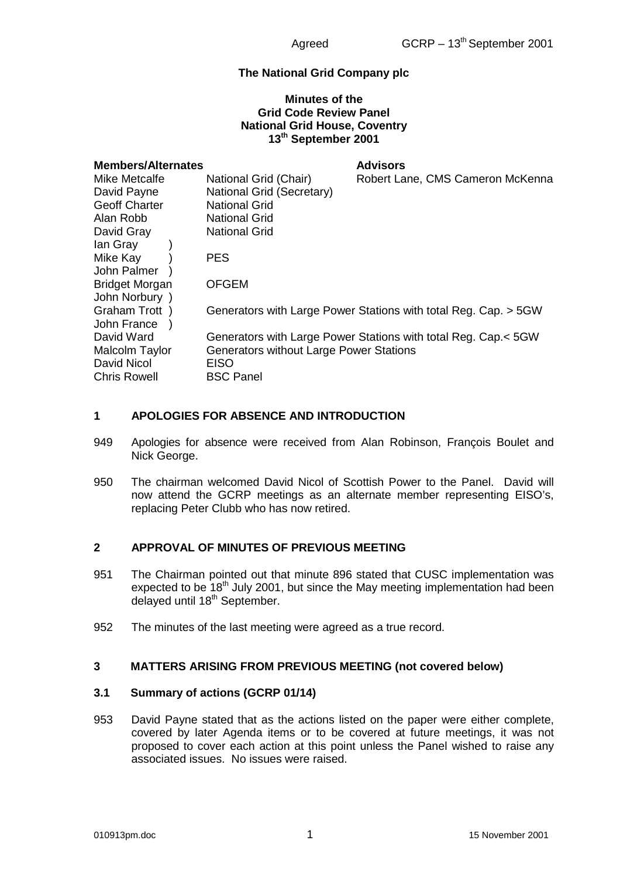## **The National Grid Company plc**

#### **Minutes of the Grid Code Review Panel National Grid House, Coventry 13th September 2001**

# **Members/Alternates Advisors**<br>Mike Meteolfe **Metional Crid (Chair) Advisors**

Dobert Lane, CMS Cameron McKenna

| <b>IVIIKE IVIELCAILE</b><br>David Payne<br><b>Geoff Charter</b><br>Alan Robb | <b>National Grid (Cridil)</b><br>National Grid (Secretary)<br><b>National Grid</b><br><b>National Grid</b> | RODEIT Lane, UNIS Cameron McRenna                               |
|------------------------------------------------------------------------------|------------------------------------------------------------------------------------------------------------|-----------------------------------------------------------------|
| David Gray                                                                   | <b>National Grid</b>                                                                                       |                                                                 |
| lan Gray                                                                     |                                                                                                            |                                                                 |
| Mike Kay<br>John Palmer                                                      | <b>PES</b>                                                                                                 |                                                                 |
| <b>Bridget Morgan</b><br>John Norbury )                                      | <b>OFGEM</b>                                                                                               |                                                                 |
| Graham Trott)<br>John France                                                 |                                                                                                            | Generators with Large Power Stations with total Reg. Cap. > 5GW |
| David Ward                                                                   |                                                                                                            | Generators with Large Power Stations with total Reg. Cap.< 5GW  |
| <b>Malcolm Taylor</b><br>David Nicol<br><b>Chris Rowell</b>                  | <b>Generators without Large Power Stations</b><br><b>EISO</b><br><b>BSC Panel</b>                          |                                                                 |
|                                                                              |                                                                                                            |                                                                 |

## **1 APOLOGIES FOR ABSENCE AND INTRODUCTION**

- 949 Apologies for absence were received from Alan Robinson, François Boulet and Nick George.
- 950 The chairman welcomed David Nicol of Scottish Power to the Panel. David will now attend the GCRP meetings as an alternate member representing EISO's, replacing Peter Clubb who has now retired.

## **2 APPROVAL OF MINUTES OF PREVIOUS MEETING**

- 951 The Chairman pointed out that minute 896 stated that CUSC implementation was expected to be  $18<sup>th</sup>$  July 2001, but since the May meeting implementation had been delayed until 18<sup>th</sup> September.
- 952 The minutes of the last meeting were agreed as a true record.

## **3 MATTERS ARISING FROM PREVIOUS MEETING (not covered below)**

#### **3.1 Summary of actions (GCRP 01/14)**

953 David Payne stated that as the actions listed on the paper were either complete, covered by later Agenda items or to be covered at future meetings, it was not proposed to cover each action at this point unless the Panel wished to raise any associated issues. No issues were raised.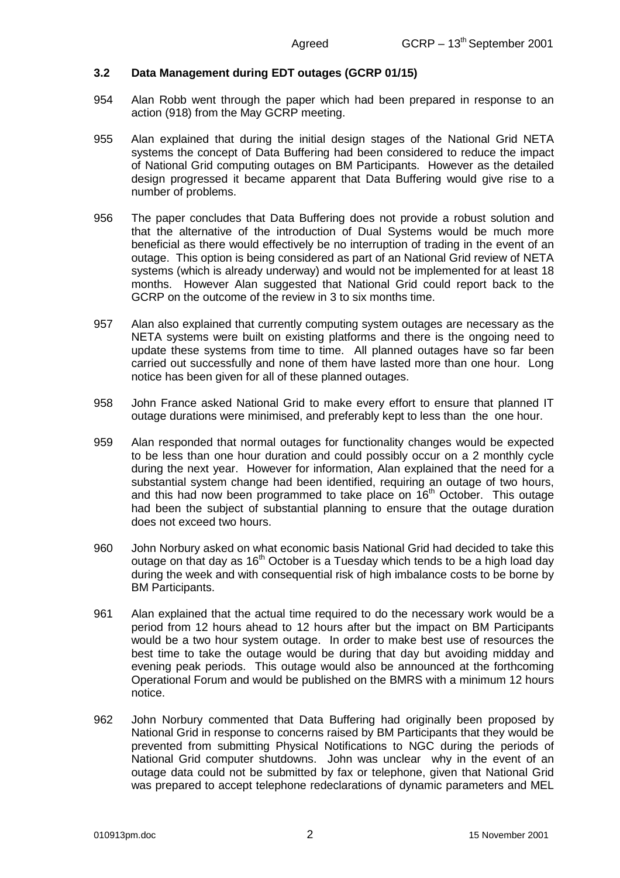## **3.2 Data Management during EDT outages (GCRP 01/15)**

- 954 Alan Robb went through the paper which had been prepared in response to an action (918) from the May GCRP meeting.
- 955 Alan explained that during the initial design stages of the National Grid NETA systems the concept of Data Buffering had been considered to reduce the impact of National Grid computing outages on BM Participants. However as the detailed design progressed it became apparent that Data Buffering would give rise to a number of problems.
- 956 The paper concludes that Data Buffering does not provide a robust solution and that the alternative of the introduction of Dual Systems would be much more beneficial as there would effectively be no interruption of trading in the event of an outage. This option is being considered as part of an National Grid review of NETA systems (which is already underway) and would not be implemented for at least 18 months. However Alan suggested that National Grid could report back to the GCRP on the outcome of the review in 3 to six months time.
- 957 Alan also explained that currently computing system outages are necessary as the NETA systems were built on existing platforms and there is the ongoing need to update these systems from time to time. All planned outages have so far been carried out successfully and none of them have lasted more than one hour. Long notice has been given for all of these planned outages.
- 958 John France asked National Grid to make every effort to ensure that planned IT outage durations were minimised, and preferably kept to less than the one hour.
- 959 Alan responded that normal outages for functionality changes would be expected to be less than one hour duration and could possibly occur on a 2 monthly cycle during the next year. However for information, Alan explained that the need for a substantial system change had been identified, requiring an outage of two hours, and this had now been programmed to take place on  $16<sup>th</sup>$  October. This outage had been the subject of substantial planning to ensure that the outage duration does not exceed two hours.
- 960 John Norbury asked on what economic basis National Grid had decided to take this outage on that day as  $16<sup>th</sup>$  October is a Tuesday which tends to be a high load day during the week and with consequential risk of high imbalance costs to be borne by BM Participants.
- 961 Alan explained that the actual time required to do the necessary work would be a period from 12 hours ahead to 12 hours after but the impact on BM Participants would be a two hour system outage. In order to make best use of resources the best time to take the outage would be during that day but avoiding midday and evening peak periods. This outage would also be announced at the forthcoming Operational Forum and would be published on the BMRS with a minimum 12 hours notice.
- 962 John Norbury commented that Data Buffering had originally been proposed by National Grid in response to concerns raised by BM Participants that they would be prevented from submitting Physical Notifications to NGC during the periods of National Grid computer shutdowns. John was unclear why in the event of an outage data could not be submitted by fax or telephone, given that National Grid was prepared to accept telephone redeclarations of dynamic parameters and MEL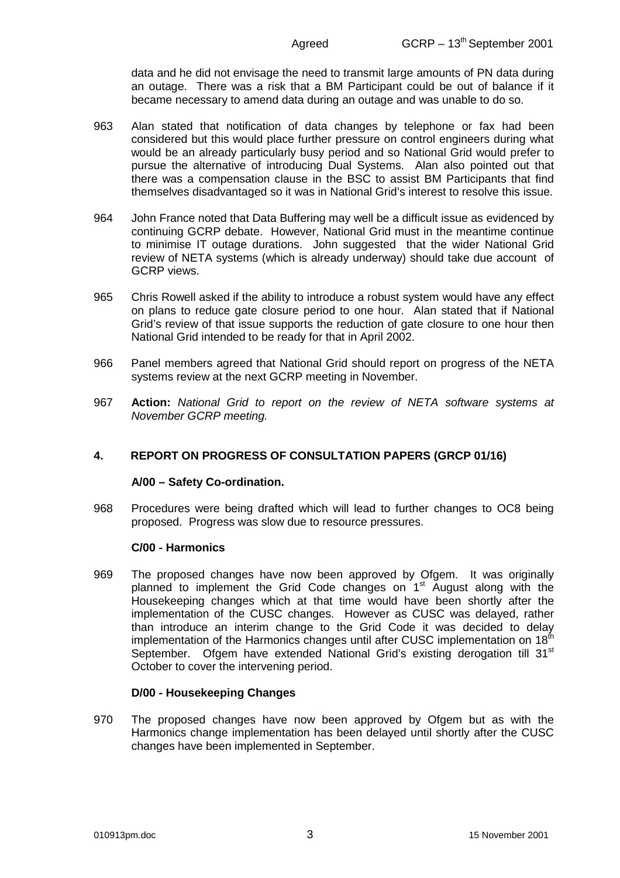data and he did not envisage the need to transmit large amounts of PN data during an outage. There was a risk that a BM Participant could be out of balance if it became necessary to amend data during an outage and was unable to do so.

- 963 Alan stated that notification of data changes by telephone or fax had been considered but this would place further pressure on control engineers during what would be an already particularly busy period and so National Grid would prefer to pursue the alternative of introducing Dual Systems. Alan also pointed out that there was a compensation clause in the BSC to assist BM Participants that find themselves disadvantaged so it was in National Grid's interest to resolve this issue.
- 964 John France noted that Data Buffering may well be a difficult issue as evidenced by continuing GCRP debate. However, National Grid must in the meantime continue to minimise IT outage durations. John suggested that the wider National Grid review of NETA systems (which is already underway) should take due account of GCRP views.
- 965 Chris Rowell asked if the ability to introduce a robust system would have any effect on plans to reduce gate closure period to one hour. Alan stated that if National Grid's review of that issue supports the reduction of gate closure to one hour then National Grid intended to be ready for that in April 2002.
- 966 Panel members agreed that National Grid should report on progress of the NETA systems review at the next GCRP meeting in November.
- 967 **Action:** *National Grid to report on the review of NETA software systems at November GCRP meeting.*

## **4. REPORT ON PROGRESS OF CONSULTATION PAPERS (GRCP 01/16)**

## **A/00 – Safety Co-ordination.**

968 Procedures were being drafted which will lead to further changes to OC8 being proposed. Progress was slow due to resource pressures.

## **C/00 - Harmonics**

969 The proposed changes have now been approved by Ofgem. It was originally planned to implement the Grid Code changes on 1<sup>st</sup> August along with the Housekeeping changes which at that time would have been shortly after the implementation of the CUSC changes. However as CUSC was delayed, rather than introduce an interim change to the Grid Code it was decided to delay implementation of the Harmonics changes until after CUSC implementation on 18<sup>th</sup> September. Ofgem have extended National Grid's existing derogation till 31<sup>st</sup> October to cover the intervening period.

## **D/00 - Housekeeping Changes**

970 The proposed changes have now been approved by Ofgem but as with the Harmonics change implementation has been delayed until shortly after the CUSC changes have been implemented in September.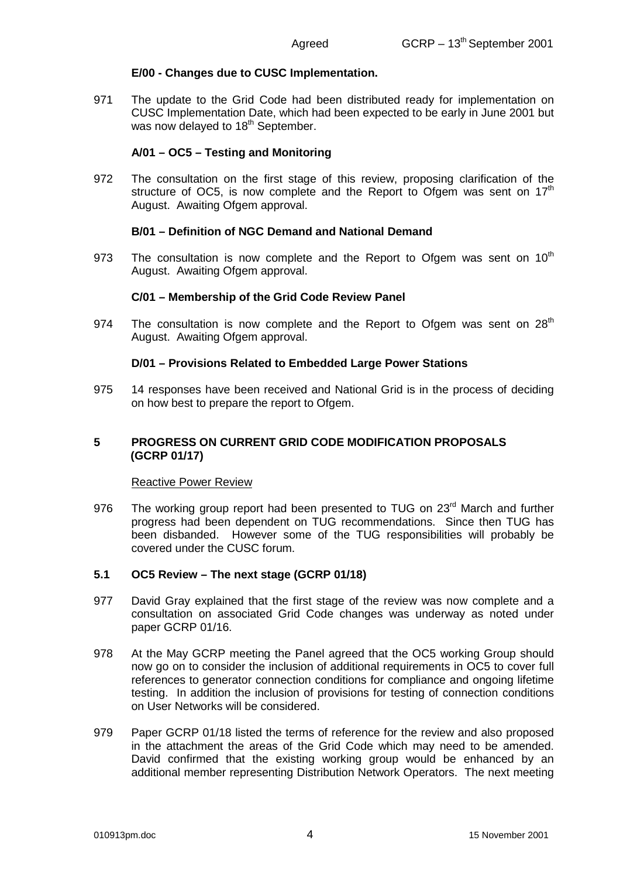#### **E/00 - Changes due to CUSC Implementation.**

971 The update to the Grid Code had been distributed ready for implementation on CUSC Implementation Date, which had been expected to be early in June 2001 but was now delayed to 18<sup>th</sup> September.

## **A/01 – OC5 – Testing and Monitoring**

972 The consultation on the first stage of this review, proposing clarification of the structure of OC5, is now complete and the Report to Ofgem was sent on  $17<sup>th</sup>$ August. Awaiting Ofgem approval.

### **B/01 – Definition of NGC Demand and National Demand**

973 The consultation is now complete and the Report to Ofgem was sent on  $10<sup>th</sup>$ August. Awaiting Ofgem approval.

#### **C/01 – Membership of the Grid Code Review Panel**

974 The consultation is now complete and the Report to Ofgem was sent on  $28<sup>th</sup>$ August. Awaiting Ofgem approval.

#### **D/01 – Provisions Related to Embedded Large Power Stations**

975 14 responses have been received and National Grid is in the process of deciding on how best to prepare the report to Ofgem.

## **5 PROGRESS ON CURRENT GRID CODE MODIFICATION PROPOSALS (GCRP 01/17)**

#### Reactive Power Review

976 The working group report had been presented to TUG on 23<sup>rd</sup> March and further progress had been dependent on TUG recommendations. Since then TUG has been disbanded. However some of the TUG responsibilities will probably be covered under the CUSC forum.

#### **5.1 OC5 Review – The next stage (GCRP 01/18)**

- 977 David Gray explained that the first stage of the review was now complete and a consultation on associated Grid Code changes was underway as noted under paper GCRP 01/16.
- 978 At the May GCRP meeting the Panel agreed that the OC5 working Group should now go on to consider the inclusion of additional requirements in OC5 to cover full references to generator connection conditions for compliance and ongoing lifetime testing. In addition the inclusion of provisions for testing of connection conditions on User Networks will be considered.
- 979 Paper GCRP 01/18 listed the terms of reference for the review and also proposed in the attachment the areas of the Grid Code which may need to be amended. David confirmed that the existing working group would be enhanced by an additional member representing Distribution Network Operators. The next meeting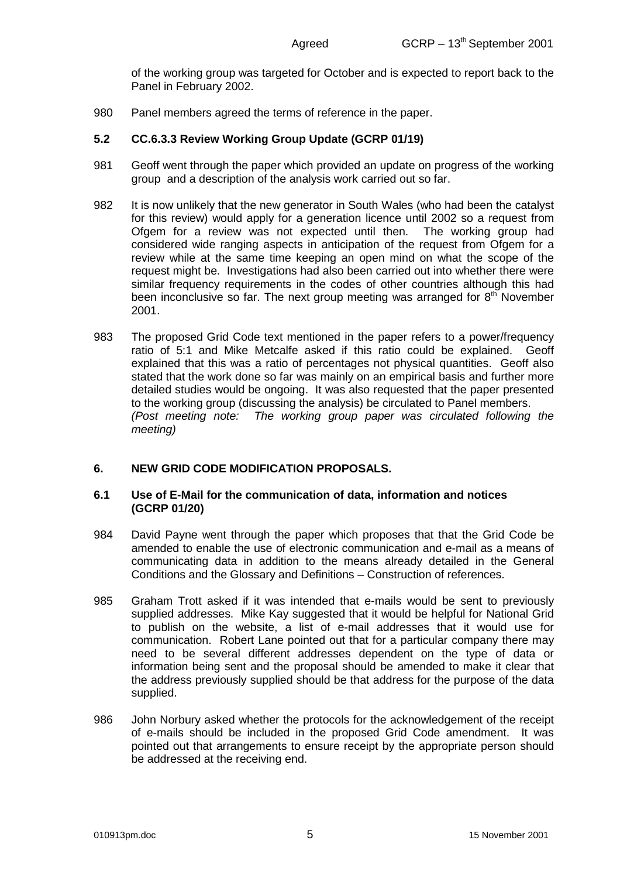of the working group was targeted for October and is expected to report back to the Panel in February 2002.

980 Panel members agreed the terms of reference in the paper.

## **5.2 CC.6.3.3 Review Working Group Update (GCRP 01/19)**

- 981 Geoff went through the paper which provided an update on progress of the working group and a description of the analysis work carried out so far.
- 982 It is now unlikely that the new generator in South Wales (who had been the catalyst for this review) would apply for a generation licence until 2002 so a request from Ofgem for a review was not expected until then. The working group had considered wide ranging aspects in anticipation of the request from Ofgem for a review while at the same time keeping an open mind on what the scope of the request might be. Investigations had also been carried out into whether there were similar frequency requirements in the codes of other countries although this had been inconclusive so far. The next group meeting was arranged for  $8<sup>th</sup>$  November 2001.
- 983 The proposed Grid Code text mentioned in the paper refers to a power/frequency ratio of 5:1 and Mike Metcalfe asked if this ratio could be explained. Geoff explained that this was a ratio of percentages not physical quantities. Geoff also stated that the work done so far was mainly on an empirical basis and further more detailed studies would be ongoing. It was also requested that the paper presented to the working group (discussing the analysis) be circulated to Panel members. *(Post meeting note: The working group paper was circulated following the meeting)*

## **6. NEW GRID CODE MODIFICATION PROPOSALS.**

#### **6.1 Use of E-Mail for the communication of data, information and notices (GCRP 01/20)**

- 984 David Payne went through the paper which proposes that that the Grid Code be amended to enable the use of electronic communication and e-mail as a means of communicating data in addition to the means already detailed in the General Conditions and the Glossary and Definitions – Construction of references.
- 985 Graham Trott asked if it was intended that e-mails would be sent to previously supplied addresses. Mike Kay suggested that it would be helpful for National Grid to publish on the website, a list of e-mail addresses that it would use for communication. Robert Lane pointed out that for a particular company there may need to be several different addresses dependent on the type of data or information being sent and the proposal should be amended to make it clear that the address previously supplied should be that address for the purpose of the data supplied.
- 986 John Norbury asked whether the protocols for the acknowledgement of the receipt of e-mails should be included in the proposed Grid Code amendment. It was pointed out that arrangements to ensure receipt by the appropriate person should be addressed at the receiving end.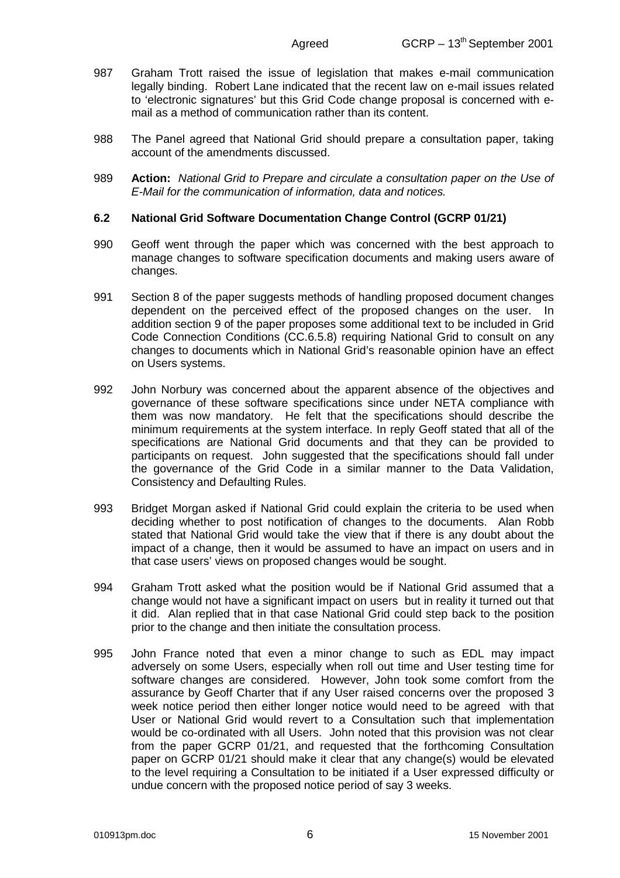- 987 Graham Trott raised the issue of legislation that makes e-mail communication legally binding. Robert Lane indicated that the recent law on e-mail issues related to 'electronic signatures' but this Grid Code change proposal is concerned with email as a method of communication rather than its content.
- 988 The Panel agreed that National Grid should prepare a consultation paper, taking account of the amendments discussed.
- 989 **Action:** *National Grid to Prepare and circulate a consultation paper on the Use of E-Mail for the communication of information, data and notices.*

## **6.2 National Grid Software Documentation Change Control (GCRP 01/21)**

- 990 Geoff went through the paper which was concerned with the best approach to manage changes to software specification documents and making users aware of changes.
- 991 Section 8 of the paper suggests methods of handling proposed document changes dependent on the perceived effect of the proposed changes on the user. In addition section 9 of the paper proposes some additional text to be included in Grid Code Connection Conditions (CC.6.5.8) requiring National Grid to consult on any changes to documents which in National Grid's reasonable opinion have an effect on Users systems.
- 992 John Norbury was concerned about the apparent absence of the objectives and governance of these software specifications since under NETA compliance with them was now mandatory. He felt that the specifications should describe the minimum requirements at the system interface. In reply Geoff stated that all of the specifications are National Grid documents and that they can be provided to participants on request. John suggested that the specifications should fall under the governance of the Grid Code in a similar manner to the Data Validation, Consistency and Defaulting Rules.
- 993 Bridget Morgan asked if National Grid could explain the criteria to be used when deciding whether to post notification of changes to the documents. Alan Robb stated that National Grid would take the view that if there is any doubt about the impact of a change, then it would be assumed to have an impact on users and in that case users' views on proposed changes would be sought.
- 994 Graham Trott asked what the position would be if National Grid assumed that a change would not have a significant impact on users but in reality it turned out that it did. Alan replied that in that case National Grid could step back to the position prior to the change and then initiate the consultation process.
- 995 John France noted that even a minor change to such as EDL may impact adversely on some Users, especially when roll out time and User testing time for software changes are considered. However, John took some comfort from the assurance by Geoff Charter that if any User raised concerns over the proposed 3 week notice period then either longer notice would need to be agreed with that User or National Grid would revert to a Consultation such that implementation would be co-ordinated with all Users. John noted that this provision was not clear from the paper GCRP 01/21, and requested that the forthcoming Consultation paper on GCRP 01/21 should make it clear that any change(s) would be elevated to the level requiring a Consultation to be initiated if a User expressed difficulty or undue concern with the proposed notice period of say 3 weeks.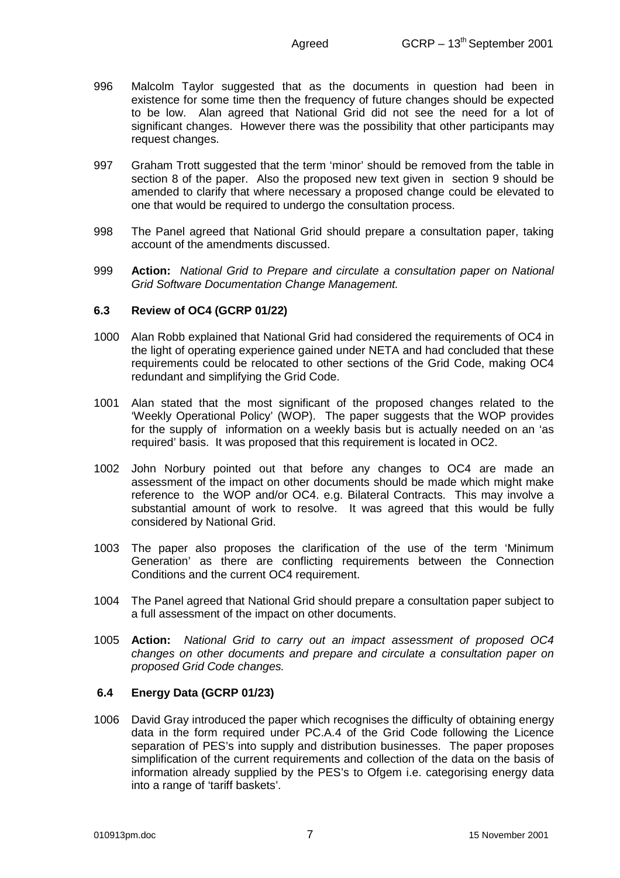- 996 Malcolm Taylor suggested that as the documents in question had been in existence for some time then the frequency of future changes should be expected to be low. Alan agreed that National Grid did not see the need for a lot of significant changes. However there was the possibility that other participants may request changes.
- 997 Graham Trott suggested that the term 'minor' should be removed from the table in section 8 of the paper. Also the proposed new text given in section 9 should be amended to clarify that where necessary a proposed change could be elevated to one that would be required to undergo the consultation process.
- 998 The Panel agreed that National Grid should prepare a consultation paper, taking account of the amendments discussed.
- 999 **Action:** *National Grid to Prepare and circulate a consultation paper on National Grid Software Documentation Change Management.*

### **6.3 Review of OC4 (GCRP 01/22)**

- 1000 Alan Robb explained that National Grid had considered the requirements of OC4 in the light of operating experience gained under NETA and had concluded that these requirements could be relocated to other sections of the Grid Code, making OC4 redundant and simplifying the Grid Code.
- 1001 Alan stated that the most significant of the proposed changes related to the 'Weekly Operational Policy' (WOP). The paper suggests that the WOP provides for the supply of information on a weekly basis but is actually needed on an 'as required' basis. It was proposed that this requirement is located in OC2.
- 1002 John Norbury pointed out that before any changes to OC4 are made an assessment of the impact on other documents should be made which might make reference to the WOP and/or OC4. e.g. Bilateral Contracts. This may involve a substantial amount of work to resolve. It was agreed that this would be fully considered by National Grid.
- 1003 The paper also proposes the clarification of the use of the term 'Minimum Generation' as there are conflicting requirements between the Connection Conditions and the current OC4 requirement.
- 1004 The Panel agreed that National Grid should prepare a consultation paper subject to a full assessment of the impact on other documents.
- 1005 **Action:** *National Grid to carry out an impact assessment of proposed OC4 changes on other documents and prepare and circulate a consultation paper on proposed Grid Code changes.*

## **6.4 Energy Data (GCRP 01/23)**

1006 David Gray introduced the paper which recognises the difficulty of obtaining energy data in the form required under PC.A.4 of the Grid Code following the Licence separation of PES's into supply and distribution businesses. The paper proposes simplification of the current requirements and collection of the data on the basis of information already supplied by the PES's to Ofgem i.e. categorising energy data into a range of 'tariff baskets'.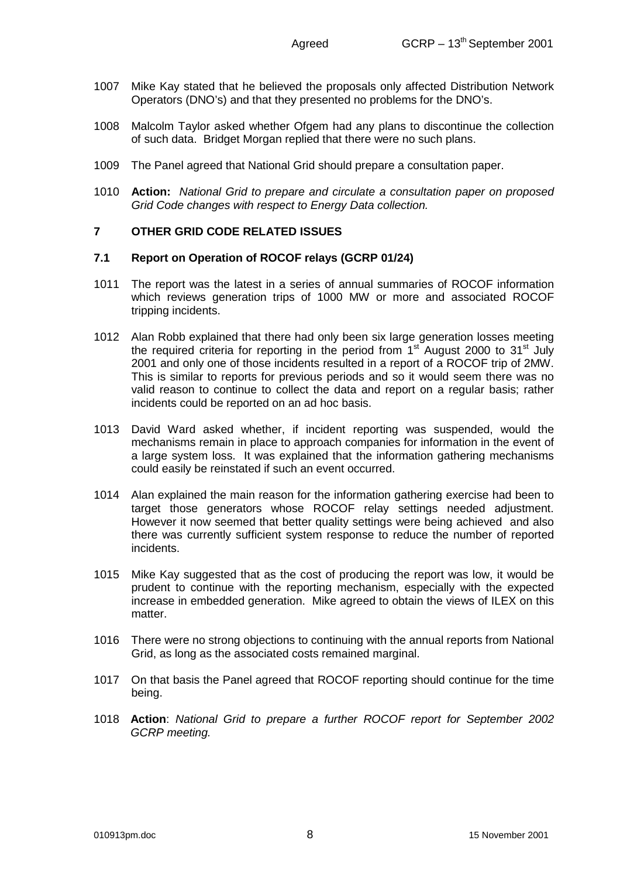- 1007 Mike Kay stated that he believed the proposals only affected Distribution Network Operators (DNO's) and that they presented no problems for the DNO's.
- 1008 Malcolm Taylor asked whether Ofgem had any plans to discontinue the collection of such data. Bridget Morgan replied that there were no such plans.
- 1009 The Panel agreed that National Grid should prepare a consultation paper.
- 1010 **Action:** *National Grid to prepare and circulate a consultation paper on proposed Grid Code changes with respect to Energy Data collection.*

## **7 OTHER GRID CODE RELATED ISSUES**

#### **7.1 Report on Operation of ROCOF relays (GCRP 01/24)**

- 1011 The report was the latest in a series of annual summaries of ROCOF information which reviews generation trips of 1000 MW or more and associated ROCOF tripping incidents.
- 1012 Alan Robb explained that there had only been six large generation losses meeting the required criteria for reporting in the period from  $1<sup>st</sup>$  August 2000 to  $31<sup>st</sup>$  July 2001 and only one of those incidents resulted in a report of a ROCOF trip of 2MW. This is similar to reports for previous periods and so it would seem there was no valid reason to continue to collect the data and report on a regular basis; rather incidents could be reported on an ad hoc basis.
- 1013 David Ward asked whether, if incident reporting was suspended, would the mechanisms remain in place to approach companies for information in the event of a large system loss. It was explained that the information gathering mechanisms could easily be reinstated if such an event occurred.
- 1014 Alan explained the main reason for the information gathering exercise had been to target those generators whose ROCOF relay settings needed adjustment. However it now seemed that better quality settings were being achieved and also there was currently sufficient system response to reduce the number of reported incidents.
- 1015 Mike Kay suggested that as the cost of producing the report was low, it would be prudent to continue with the reporting mechanism, especially with the expected increase in embedded generation. Mike agreed to obtain the views of ILEX on this matter.
- 1016 There were no strong objections to continuing with the annual reports from National Grid, as long as the associated costs remained marginal.
- 1017 On that basis the Panel agreed that ROCOF reporting should continue for the time being.
- 1018 **Action**: *National Grid to prepare a further ROCOF report for September 2002 GCRP meeting.*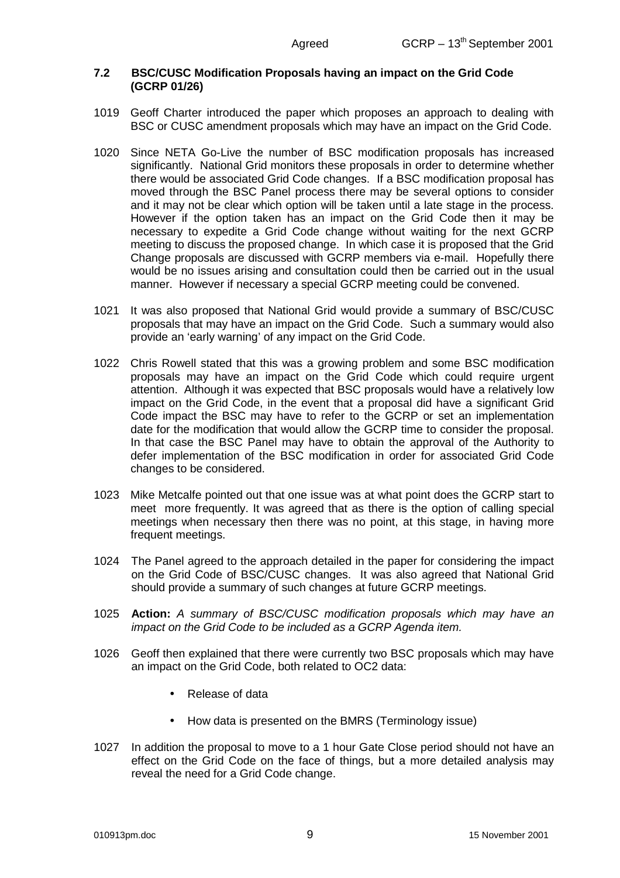#### **7.2 BSC/CUSC Modification Proposals having an impact on the Grid Code (GCRP 01/26)**

- 1019 Geoff Charter introduced the paper which proposes an approach to dealing with BSC or CUSC amendment proposals which may have an impact on the Grid Code.
- 1020 Since NETA Go-Live the number of BSC modification proposals has increased significantly. National Grid monitors these proposals in order to determine whether there would be associated Grid Code changes. If a BSC modification proposal has moved through the BSC Panel process there may be several options to consider and it may not be clear which option will be taken until a late stage in the process. However if the option taken has an impact on the Grid Code then it may be necessary to expedite a Grid Code change without waiting for the next GCRP meeting to discuss the proposed change. In which case it is proposed that the Grid Change proposals are discussed with GCRP members via e-mail. Hopefully there would be no issues arising and consultation could then be carried out in the usual manner. However if necessary a special GCRP meeting could be convened.
- 1021 It was also proposed that National Grid would provide a summary of BSC/CUSC proposals that may have an impact on the Grid Code. Such a summary would also provide an 'early warning' of any impact on the Grid Code.
- 1022 Chris Rowell stated that this was a growing problem and some BSC modification proposals may have an impact on the Grid Code which could require urgent attention. Although it was expected that BSC proposals would have a relatively low impact on the Grid Code, in the event that a proposal did have a significant Grid Code impact the BSC may have to refer to the GCRP or set an implementation date for the modification that would allow the GCRP time to consider the proposal. In that case the BSC Panel may have to obtain the approval of the Authority to defer implementation of the BSC modification in order for associated Grid Code changes to be considered.
- 1023 Mike Metcalfe pointed out that one issue was at what point does the GCRP start to meet more frequently. It was agreed that as there is the option of calling special meetings when necessary then there was no point, at this stage, in having more frequent meetings.
- 1024 The Panel agreed to the approach detailed in the paper for considering the impact on the Grid Code of BSC/CUSC changes. It was also agreed that National Grid should provide a summary of such changes at future GCRP meetings.
- 1025 **Action:** *A summary of BSC/CUSC modification proposals which may have an impact on the Grid Code to be included as a GCRP Agenda item.*
- 1026 Geoff then explained that there were currently two BSC proposals which may have an impact on the Grid Code, both related to OC2 data:
	- Release of data
	- How data is presented on the BMRS (Terminology issue)
- 1027 In addition the proposal to move to a 1 hour Gate Close period should not have an effect on the Grid Code on the face of things, but a more detailed analysis may reveal the need for a Grid Code change.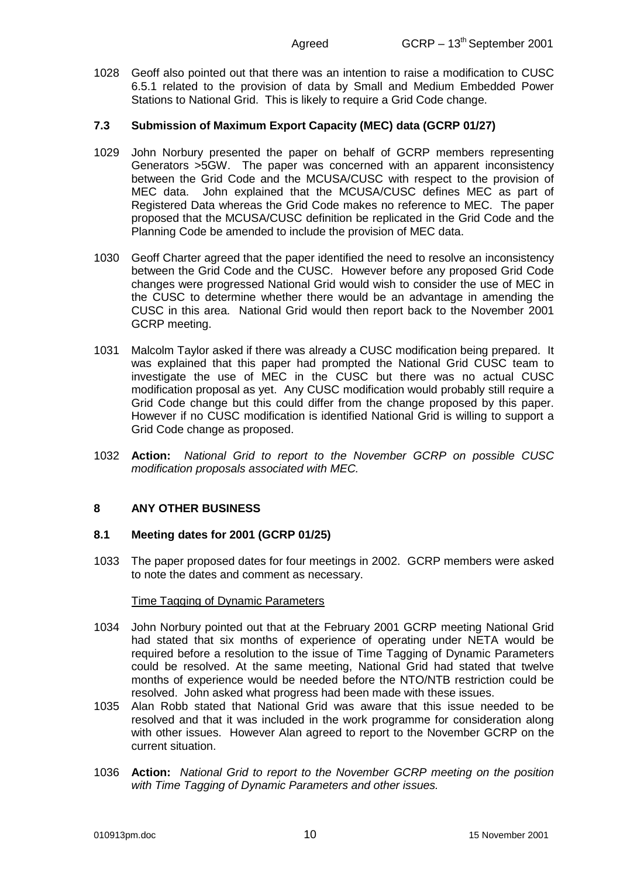1028 Geoff also pointed out that there was an intention to raise a modification to CUSC 6.5.1 related to the provision of data by Small and Medium Embedded Power Stations to National Grid. This is likely to require a Grid Code change.

## **7.3 Submission of Maximum Export Capacity (MEC) data (GCRP 01/27)**

- 1029 John Norbury presented the paper on behalf of GCRP members representing Generators >5GW. The paper was concerned with an apparent inconsistency between the Grid Code and the MCUSA/CUSC with respect to the provision of MEC data. John explained that the MCUSA/CUSC defines MEC as part of Registered Data whereas the Grid Code makes no reference to MEC. The paper proposed that the MCUSA/CUSC definition be replicated in the Grid Code and the Planning Code be amended to include the provision of MEC data.
- 1030 Geoff Charter agreed that the paper identified the need to resolve an inconsistency between the Grid Code and the CUSC. However before any proposed Grid Code changes were progressed National Grid would wish to consider the use of MEC in the CUSC to determine whether there would be an advantage in amending the CUSC in this area. National Grid would then report back to the November 2001 GCRP meeting.
- 1031 Malcolm Taylor asked if there was already a CUSC modification being prepared. It was explained that this paper had prompted the National Grid CUSC team to investigate the use of MEC in the CUSC but there was no actual CUSC modification proposal as yet. Any CUSC modification would probably still require a Grid Code change but this could differ from the change proposed by this paper. However if no CUSC modification is identified National Grid is willing to support a Grid Code change as proposed.
- 1032 **Action:** *National Grid to report to the November GCRP on possible CUSC modification proposals associated with MEC.*

## **8 ANY OTHER BUSINESS**

## **8.1 Meeting dates for 2001 (GCRP 01/25)**

1033 The paper proposed dates for four meetings in 2002. GCRP members were asked to note the dates and comment as necessary.

## Time Tagging of Dynamic Parameters

- 1034 John Norbury pointed out that at the February 2001 GCRP meeting National Grid had stated that six months of experience of operating under NETA would be required before a resolution to the issue of Time Tagging of Dynamic Parameters could be resolved. At the same meeting, National Grid had stated that twelve months of experience would be needed before the NTO/NTB restriction could be resolved. John asked what progress had been made with these issues.
- 1035 Alan Robb stated that National Grid was aware that this issue needed to be resolved and that it was included in the work programme for consideration along with other issues. However Alan agreed to report to the November GCRP on the current situation.
- 1036 **Action:** *National Grid to report to the November GCRP meeting on the position with Time Tagging of Dynamic Parameters and other issues.*